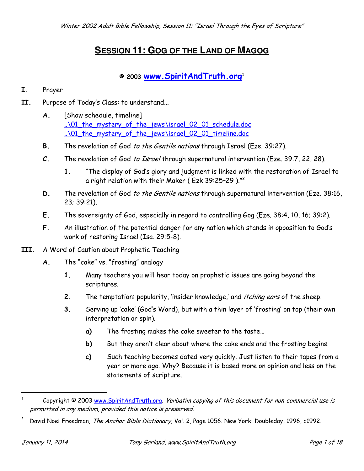# **SESSION 11: GOG OF THE LAND OF MAGOG**

## **© 2003 [www.SpiritAndTruth.org](http://www.spiritandtruth.org/teaching)<sup>1</sup>**

#### **I.** Prayer

- **II.** Purpose of Today's Class: to understand...
	- **A.** [Show schedule, timeline] [..\01\\_the\\_mystery\\_of\\_the\\_jews\israel\\_02\\_01\\_schedule.doc](../01_the_mystery_of_the_jews/israel_02_01_schedule.doc) [..\01\\_the\\_mystery\\_of\\_the\\_jews\israel\\_02\\_01\\_timeline.doc](../01_the_mystery_of_the_jews/israel_02_01_timeline.doc)
	- **B.** The revelation of God to the Gentile nations through Israel (Eze. 39:27).
	- **C.** The revelation of God to Israel through supernatural intervention (Eze. 39:7, 22, 28).
		- **1.** "The display of God's glory and judgment is linked with the restoration of Israel to a right relation with their Maker ( <code>Ezk 39:25–29</code> )." $^2$
	- **D.** The revelation of God to the Gentile nations through supernatural intervention (Eze. 38:16, 23; 39:21).
	- **E.** The sovereignty of God, especially in regard to controlling Gog (Eze. 38:4, 10, 16; 39:2).
	- **F.** An illustration of the potential danger for any nation which stands in opposition to God's work of restoring Israel (Isa. 29:5-8).
- **III.** A Word of Caution about Prophetic Teaching
	- **A.** The "cake" vs. "frosting" analogy
		- **1.** Many teachers you will hear today on prophetic issues are going beyond the scriptures.
		- **2.** The temptation: popularity, 'insider knowledge,' and itching ears of the sheep.
		- **3.** Serving up 'cake' (God's Word), but with a thin layer of 'frosting' on top (their own interpretation or spin).
			- **a)** The frosting makes the cake sweeter to the taste…
			- **b)** But they aren't clear about where the cake ends and the frosting begins.
			- **c)** Such teaching becomes dated very quickly. Just listen to their tapes from a year or more ago. Why? Because it is based more on opinion and less on the statements of scripture.

<sup>1</sup> Copyright © 2003 [www.SpiritAndTruth.org.](http://www.spiritandtruth.org/) Verbatim copying of this document for non-commercial use is permitted in any medium, provided this notice is preserved.

<sup>2</sup> David Noel Freedman, The Anchor Bible Dictionary, Vol. 2, Page 1056. New York: Doubleday, 1996, c1992.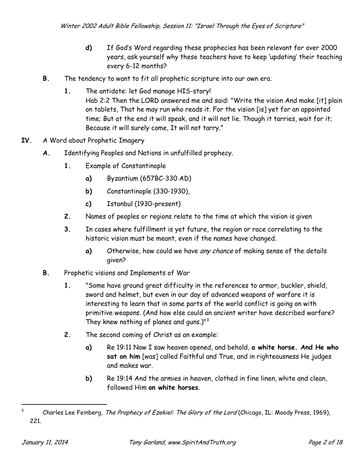- **d)** If God's Word regarding these prophecies has been relevant for over 2000 years, ask yourself why these teachers have to keep 'updating' their teaching every 6-12 months?
- **B.** The tendency to want to fit all prophetic scripture into our own era.
	- **1.** The antidote: let God manage HIS-story! Hab 2:2 Then the LORD answered me and said: "Write the vision And make [it] plain on tablets, That he may run who reads it. For the vision [is] yet for an appointed time; But at the end it will speak, and it will not lie. Though it tarries, wait for it; Because it will surely come, It will not tarry."
- **IV.** A Word about Prophetic Imagery
	- **A.** Identifying Peoples and Nations in unfulfilled prophecy.
		- **1.** Example of Constantinople
			- **a)** Byzantium (657BC-330 AD)
			- **b)** Constantinople (330-1930),
			- **c)** Istanbul (1930-present)
		- **2.** Names of peoples or regions relate to the time at which the vision is given
		- **3.** In cases where fulfillment is yet future, the region or race correlating to the historic vision must be meant, even if the names have changed.
			- **a)** Otherwise, how could we have any chance of making sense of the details given?
	- **B.** Prophetic visions and Implements of War
		- **1.** "Some have ground great difficulty in the references to armor, buckler, shield, sword and helmet, but even in our day of advanced weapons of warfare it is interesting to learn that in some parts of the world conflict is going on with primitive weapons. (And how else could an ancient writer have described warfare? They knew nothing of planes and guns.)"<sup>3</sup>
		- **2.** The second coming of Christ as an example:
			- **a)** Re 19:11 Now I saw heaven opened, and behold, **a white horse. And He who sat on him** [was] called Faithful and True, and in righteousness He judges and makes war.
			- **b)** Re 19:14 And the armies in heaven, clothed in fine linen, white and clean, followed Him **on white horses**.

<sup>3</sup> Charles Lee Feinberg, The Prophecy of Ezekiel: The Glory of the Lord (Chicago, IL: Moody Press, 1969), 221.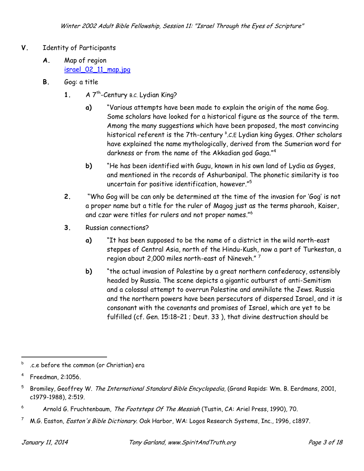- **V.** Identity of Participants
	- **A.** Map of region [israel\\_02\\_11\\_map.jpg](israel_02_11_map.jpg)
	- **B.** Gog: a title
		- **1.** A 7<sup>th</sup>-Century B.C. Lydian King?
			- **a)** "Various attempts have been made to explain the origin of the name Gog. Some scholars have looked for a historical figure as the source of the term. Among the many suggestions which have been proposed, the most convincing historical referent is the 7th-century  ${}^{8}$ .C.E Lydian king Gyges. Other scholars have explained the name mythologically, derived from the Sumerian word for darkness or from the name of the Akkadian god Gaga." $^4$
			- **b)** "He has been identified with Gugu, known in his own land of Lydia as Gyges, and mentioned in the records of Ashurbanipal. The phonetic similarity is too uncertain for positive identification, however." $^{\rm 5}$
		- **2.** "Who Gog will be can only be determined at the time of the invasion for 'Gog' is not a proper name but a title for the ruler of Magog just as the terms pharaoh, Kaiser, and czar were titles for rulers and not proper names."<sup>6</sup>
		- **3.** Russian connections?
			- **a)** "It has been supposed to be the name of a district in the wild north-east steppes of Central Asia, north of the Hindu-Kush, now a part of Turkestan, a region about 2,000 miles north-east of Nineveh."  $^7$
			- **b)** "the actual invasion of Palestine by a great northern confederacy, ostensibly headed by Russia. The scene depicts a gigantic outburst of anti-Semitism and a colossal attempt to overrun Palestine and annihilate the Jews. Russia and the northern powers have been persecutors of dispersed Israel, and it is consonant with the covenants and promises of Israel, which are yet to be fulfilled (cf. Gen. 15:18–21 ; Deut. 33 ), that divine destruction should be

b .c.e before the common (or Christian) era

<sup>4</sup> Freedman, 2:1056.

<sup>5</sup> Bromiley, Geoffrey W. The International Standard Bible Encyclopedia, (Grand Rapids: Wm. B. Eerdmans, 2001, c1979-1988), 2:519.

<sup>6</sup> Arnold G. Fruchtenbaum, The Footsteps Of The Messiah (Tustin, CA: Ariel Press, 1990), 70.

<sup>7</sup> M.G. Easton, Easton's Bible Dictionary. Oak Harbor, WA: Logos Research Systems, Inc., 1996, c1897.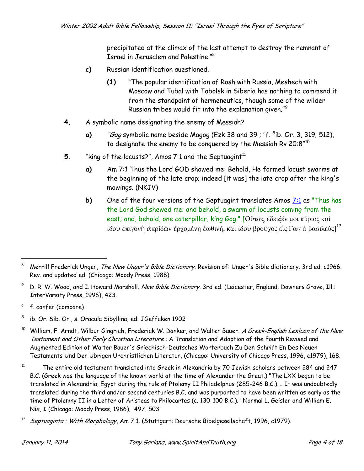precipitated at the climax of the last attempt to destroy the remnant of Israel in Jerusalem and Palestine."<sup>8</sup>

- **c)** Russian identification questioned.
	- **(1)** "The popular identification of Rosh with Russia, Meshech with Moscow and Tubal with Tobolsk in Siberia has nothing to commend it from the standpoint of hermeneutics, though some of the wilder Russian tribes would fit into the explanation given." $^9$
- **4.** A symbolic name designating the enemy of Messiah?
	- **a)** *"Gog* symbolic name beside Magog (Ezk 38 and 39 ; <sup>c</sup>f. <sup>s</sup>ib. Or. 3, 319; 512), to designate the enemy to be conquered by the Messiah Rv 20:8" $^{\rm 10}$
- **5.** "King of the locusts?", Amos 7:1 and the Septuagint<sup>11</sup>
	- **a)** Am 7:1 Thus the Lord GOD showed me: Behold, He formed locust swarms at the beginning of the late crop; indeed [it was] the late crop after the king's mowings. (NKJV)
	- **b)** One of the four versions of the Septuagint translates Amos [7:1](javascript:X() as "Thus has the Lord God shewed me; and behold, a swarm of locusts coming from the east; and, behold, one caterpillar, king Gog." [Οὕτως ἔδειξέν μοι κύριος καὶ ίδοὺ ἐπιγονὴ ἀκρίδων ἐρχομένη ἑωθινή, καὶ ἰδοὺ βροῦχος εἷς Γωγ ὁ βασιλεύς] $^{12}$

<sup>8</sup> Merrill Frederick Unger, The New Unger's Bible Dictionary. Revision of: Unger's Bible dictionary. 3rd ed. c1966. Rev. and updated ed. (Chicago: Moody Press, 1988).

 $^9$   $\,$  D. R. W. Wood, and I. Howard Marshall. *New Bible Dictionary.* 3rd ed. (Leicester, England; Downers Grove, Ill.: InterVarsity Press, 1996), 423.

c f. confer (compare)

S ib. Or. Sib. Or., s. Oracula Sibyllina, ed. JGeffcken 1902

<sup>&</sup>lt;sup>10</sup> William, F. Arndt, Wilbur Gingrich, Frederick W. Danker, and Walter Bauer. A Greek-English Lexicon of the New Testament and Other Early Christian Literature: A Translation and Adaption of the Fourth Revised and Augmented Edition of Walter Bauer's Griechisch-Deutsches Worterbuch Zu Den Schrift En Des Neuen Testaments Und Der Ubrigen Urchristlichen Literatur, (Chicago: University of Chicago Press, 1996, c1979), 168.

 $11$  The entire old testament translated into Greek in Alexandria by 70 Jewish scholars between 284 and 247 B.C. (Greek was the language of the known world at the time of Alexander the Great.) "The LXX began to be translated in Alexandria, Egypt during the rule of Ptolemy II Philadelphus (285-246 B.C.)…. It was undoubtedly translated during the third and/or second centuries B.C. and was purported to have been written as early as the time of Ptolemny II in a Letter of Aristeas to Philocartes (c. 130-100 B.C.)." Normal L. Geisler and William E. Nix, I (Chicago: Moody Press, 1986), 497, 503.

<sup>12</sup> Septuaginta : With Morphology, Am 7:1. (Stuttgart: Deutsche Bibelgesellschaft, 1996, c1979).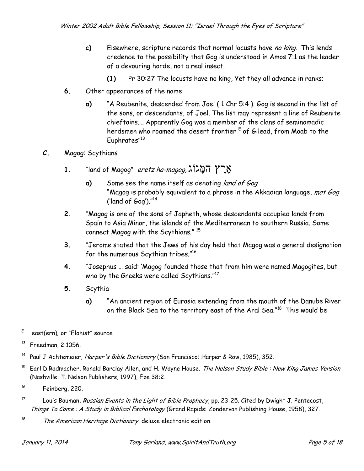- **c)** Elsewhere, scripture records that normal locusts have no king. This lends credence to the possibility that Gog is understood in Amos 7:1 as the leader of a devouring horde, not a real insect.
	- **(1)** Pr 30:27 The locusts have no king, Yet they all advance in ranks;
- **6.** Other appearances of the name
	- **a)** "A Reubenite, descended from Joel ( 1 Chr 5:4 ). Gog is second in the list of the sons, or descendants, of Joel. The list may represent a line of Reubenite chieftains…. Apparently Gog was a member of the clans of seminomadic herdsmen who roamed the desert frontier <sup>E</sup> of Gilead, from Moab to the Euphrates"<sup>13</sup>
- **C.** Magog: Scythians
	- **1.** "land of Magog" *eretz ha-magog,* אֲרֹץ הַמֲ $\aleph$ וֹ
		- **a)** Some see the name itself as denoting land of Gog "Magog is probably equivalent to a phrase in the Akkadian language, mat Gog ('land of Gog')."<sup>14</sup>
	- **2.** "Magog is one of the sons of Japheth, whose descendants occupied lands from Spain to Asia Minor, the islands of the Mediterranean to southern Russia. Some connect Magog with the Scythians." <sup>15</sup>
	- **3.** "Jerome stated that the Jews of his day held that Magog was a general designation for the numerous Scythian tribes."<sup>16</sup>
	- **4.** "Josephus … said: 'Magog founded those that from him were named Magogites, but who by the Greeks were called Scythians."<sup>17</sup>
	- **5.** Scythia
		- **a)** "An ancient region of Eurasia extending from the mouth of the Danube River on the Black Sea to the territory east of the Aral Sea." $^{\rm 18}$  This would be

 $15$  Earl D.Radmacher, Ronald Barclay Allen, and H. Wayne House. The Nelson Study Bible: New King James Version (Nashville: T. Nelson Publishers, 1997), Eze 38:2.

- <sup>17</sup> Louis Bauman, *Russian Events in the Light of Bible Prophecy*, pp. 23-25. Cited by Dwight J. Pentecost, Things To Come: A Study in Biblical Eschatology (Grand Rapids: Zondervan Publishing House, 1958), 327.
- 18 The American Heritage Dictionary, deluxe electronic edition.

E east(ern); or "Elohist" source

<sup>13</sup> Freedman, 2:1056.

<sup>&</sup>lt;sup>14</sup> Paul J Achtemeier, Harper's Bible Dictionary (San Francisco: Harper & Row, 1985), 352.

<sup>16</sup> Feinberg, 220.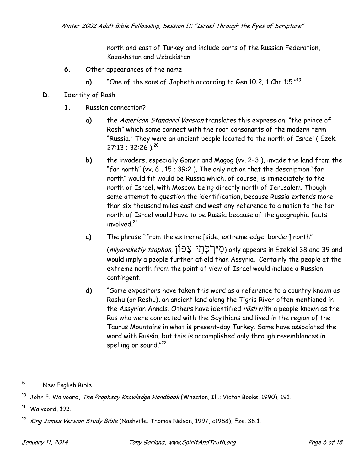north and east of Turkey and include parts of the Russian Federation, Kazakhstan and Uzbekistan.

- **6.** Other appearances of the name
	- **a)** "One of the sons of Japheth according to Gen 10:2; 1 Chr 1:5."<sup>19</sup>
- **D.** Identity of Rosh
	- **1.** Russian connection?
		- **a)** the American Standard Version translates this expression, "the prince of Rosh" which some connect with the root consonants of the modern term "Russia." They were an ancient people located to the north of Israel ( Ezek.  $27:13$  ; 32:26 ).<sup>20</sup>
		- **b)** the invaders, especially Gomer and Magog (vv. 2–3 ), invade the land from the "far north" (vv. 6 , 15 ; 39:2 ). The only nation that the description "far north" would fit would be Russia which, of course, is immediately to the north of Israel, with Moscow being directly north of Jerusalem. Though some attempt to question the identification, because Russia extends more than six thousand miles east and west any reference to a nation to the far north of Israel would have to be Russia because of the geographic facts involved.<sup>21</sup>
		- **c)** The phrase "from the extreme [side, extreme edge, border] north"

(miyareketiy tsaphon, בְּרְבְהֵי צָבוֹן) only appears in Ezekiel 38 and 39 and would imply a people further afield than Assyria. Certainly the people at the extreme north from the point of view of Israel would include a Russian contingent.

**d)** "Some expositors have taken this word as a reference to a country known as Rashu (or Reshu), an ancient land along the Tigris River often mentioned in the Assyrian Annals. Others have identified rosh with a people known as the Rus who were connected with the Scythians and lived in the region of the Taurus Mountains in what is present-day Turkey. Some have associated the word with Russia, but this is accomplished only through resemblances in spelling or sound." $^{22}$ 

<sup>19</sup> New English Bible.

<sup>&</sup>lt;sup>20</sup> John F. Walvoord, The Prophecy Knowledge Handbook (Wheaton, Ill.: Victor Books, 1990), 191.

<sup>21</sup> Walvoord, 192.

King James Version Study Bible (Nashville: Thomas Nelson, 1997, c1988), Eze. 38:1.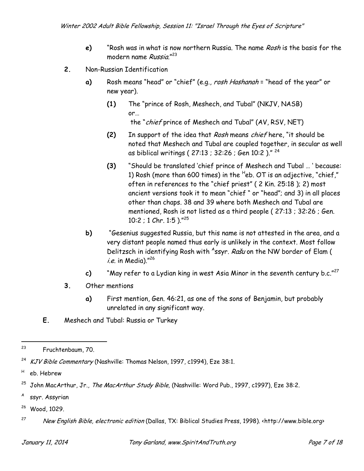- **e)** "Rosh was in what is now northern Russia. The name Rosh is the basis for the modern name Russia."<sup>23</sup>
- **2.** Non-Russian Identification
	- **a)** Rosh means "head" or "chief" (e.g., rosh Hashanah = "head of the year" or new year).
		- **(1)** The "prince of Rosh, Meshech, and Tubal" (NKJV, NASB) or… the "chief prince of Meshech and Tubal" (AV, RSV, NET)
		- **(2)** In support of the idea that Rosh means chief here, "it should be noted that Meshech and Tubal are coupled together, in secular as well as biblical writings ( 27:13 ; 32:26 ; Gen 10:2 )." <sup>24</sup>
		- **(3)** "Should be translated 'chief prince of Meshech and Tubal … ' because: 1) Rosh (more than 600 times) in the  $^{\mathsf{H}}$ eb. OT is an adjective, "chief," often in references to the "chief priest" ( 2 Kin. 25:18 ); 2) most ancient versions took it to mean "chief " or "head"; and 3) in all places other than chaps. 38 and 39 where both Meshech and Tubal are mentioned, Rosh is not listed as a third people ( 27:13 ; 32:26 ; Gen. 10:2 ; 1 Chr. 1:5 )."<sup>25</sup>
	- **b)** "Gesenius suggested Russia, but this name is not attested in the area, and a very distant people named thus early is unlikely in the context. Most follow Delitzsch in identifying Rosh with <sup>A</sup>ssyr. *Rašu* on the NW border of Elam ( *i.e.* in Media)."<sup>26</sup>
	- **c)** "May refer to a Lydian king in west Asia Minor in the seventh century b.c."<sup>27</sup>
- **3.** Other mentions
	- **a)** First mention, Gen. 46:21, as one of the sons of Benjamin, but probably unrelated in any significant way.
- **E.** Meshech and Tubal: Russia or Turkey

- A ssyr. Assyrian
- <sup>26</sup> Wood, 1029.

<sup>23</sup> Fruchtenbaum, 70.

<sup>&</sup>lt;sup>24</sup> KJV Bible Commentary (Nashville: Thomas Nelson, 1997, c1994), Eze 38:1.

H eb. Hebrew

 $^{25}$  John MacArthur, Jr., The MacArthur Study Bible, (Nashville: Word Pub., 1997, c1997), Eze 38:2.

<sup>27</sup> New English Bible, electronic edition (Dallas, TX: Biblical Studies Press, 1998). <http://www.bible.org>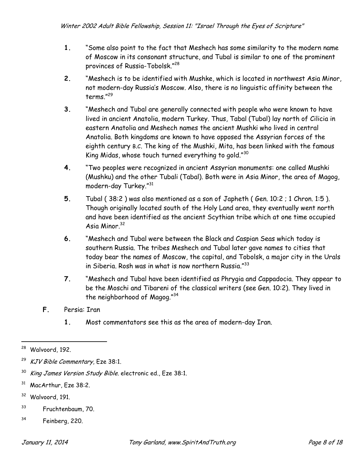- **1.** "Some also point to the fact that Meshech has some similarity to the modern name of Moscow in its consonant structure, and Tubal is similar to one of the prominent provinces of Russia-Tobolsk."<sup>28</sup>
- **2.** "Meshech is to be identified with Mushke, which is located in northwest Asia Minor, not modern-day Russia's Moscow. Also, there is no linguistic affinity between the terms."<sup>29</sup>
- **3.** "Meshech and Tubal are generally connected with people who were known to have lived in ancient Anatolia, modern Turkey. Thus, Tabal (Tubal) lay north of Cilicia in eastern Anatolia and Meshech names the ancient Mushki who lived in central Anatolia. Both kingdoms are known to have opposed the Assyrian forces of the eighth century B.C. The king of the Mushki, Mita, has been linked with the famous King Midas, whose touch turned everything to gold." $^{30}$
- **4.** "Two peoples were recognized in ancient Assyrian monuments: one called Mushki (Mushku) and the other Tubali (Tabal). Both were in Asia Minor, the area of Magog, modern-day Turkey."<sup>31</sup>
- **5.** Tubal ( 38:2 ) was also mentioned as a son of Japheth ( Gen. 10:2 ; 1 Chron. 1:5 ). Though originally located south of the Holy Land area, they eventually went north and have been identified as the ancient Scythian tribe which at one time occupied Asia Minor.<sup>32</sup>
- **6.** "Meshech and Tubal were between the Black and Caspian Seas which today is southern Russia. The tribes Meshech and Tubal later gave names to cities that today bear the names of Moscow, the capital, and Tobolsk, a major city in the Urals in Siberia. Rosh was in what is now northern Russia."<sup>33</sup>
- **7.** "Meshech and Tubal have been identified as Phrygia and Cappadocia. They appear to be the Moschi and Tibareni of the classical writers (see Gen. 10:2). They lived in the neighborhood of Magog."<sup>34</sup>
- **F.** Persia: Iran
	- **1.** Most commentators see this as the area of modern-day Iran.

- <sup>32</sup> Walvoord, 191.
- <sup>33</sup> Fruchtenbaum, 70.
- <sup>34</sup> Feinberg, 220.

<sup>28</sup> Walvoord, 192.

KJV Bible Commentary, Eze 38:1.

<sup>&</sup>lt;sup>30</sup> King James Version Study Bible. electronic ed., Eze 38:1.

<sup>31</sup> MacArthur, Eze 38:2.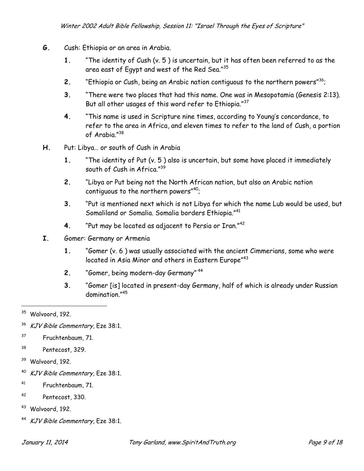- **G.** Cush: Ethiopia or an area in Arabia.
	- **1.** "The identity of Cush (v. 5 ) is uncertain, but it has often been referred to as the area east of Egypt and west of the Red Sea."<sup>35</sup>
	- **2.** "Ethiopia or Cush, being an Arabic nation contiguous to the northern powers"<sup>36</sup>;
	- **3.** "There were two places that had this name. One was in Mesopotamia (Genesis 2:13). But all other usages of this word refer to Ethiopia."<sup>37</sup>
	- **4.** "This name is used in Scripture nine times, according to Young's concordance, to refer to the area in Africa, and eleven times to refer to the land of Cush, a portion of Arabia."<sup>38</sup>
- **H.** Put: Libya… or south of Cush in Arabia
	- **1.** "The identity of Put (v. 5 ) also is uncertain, but some have placed it immediately south of Cush in Africa."<sup>39</sup>
	- **2.** "Libya or Put being not the North African nation, but also an Arabic nation contiguous to the northern powers $40$ ;
	- **3.** "Put is mentioned next which is not Libya for which the name Lub would be used, but Somaliland or Somalia. Somalia borders Ethiopia."<sup>41</sup>
	- **4.** "Put may be located as adjacent to Persia or Iran."<sup>42</sup>
- **I.** Gomer: Germany or Armenia
	- **1.** "Gomer (v. 6 ) was usually associated with the ancient Cimmerians, some who were located in Asia Minor and others in Eastern Europe" $^{43}$
	- **2.** "Gomer, being modern-day Germany" <sup>44</sup>
	- **3.** "Gomer [is] located in present-day Germany, half of which is already under Russian domination."<sup>45</sup>

l

- <sup>37</sup> Fruchtenbaum, 71.
- <sup>38</sup> Pentecost, 329.
- <sup>39</sup> Walvoord, 192.
- <sup>40</sup> KJV Bible Commentary, Eze 38:1.
- <sup>41</sup> Fruchtenbaum, 71.
- <sup>42</sup> Pentecost, 330.
- <sup>43</sup> Walvoord, 192.
- <sup>44</sup> KJV Bible Commentary, Eze 38:1.

<sup>&</sup>lt;sup>35</sup> Walvoord, 192.

<sup>&</sup>lt;sup>36</sup> KJV Bible Commentary, Eze 38:1.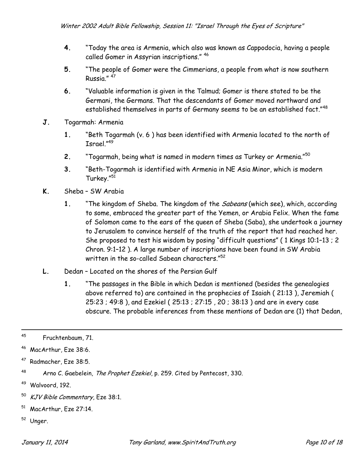- **4.** "Today the area is Armenia, which also was known as Cappodocia, having a people called Gomer in Assyrian inscriptions." <sup>46</sup>
- **5.** "The people of Gomer were the Cimmerians, a people from what is now southern Russia." <sup>47</sup>
- **6.** "Valuable information is given in the Talmud; Gomer is there stated to be the Germani, the Germans. That the descendants of Gomer moved northward and established themselves in parts of Germany seems to be an established fact."<sup>48</sup>
- **J.** Togarmah: Armenia
	- **1.** "Beth Togarmah (v. 6 ) has been identified with Armenia located to the north of Israel."<sup>49</sup>
	- **2.** "Togarmah, being what is named in modern times as Turkey or Armenia."<sup>50</sup>
	- **3.** "Beth-Togarmah is identified with Armenia in NE Asia Minor, which is modern Turkey."<sup>51</sup>
- **K.** Sheba SW Arabia
	- **1.** "The kingdom of Sheba. The kingdom of the Sabeans (which see), which, according to some, embraced the greater part of the Yemen, or Arabia Felix. When the fame of Solomon came to the ears of the queen of Sheba (Saba), she undertook a journey to Jerusalem to convince herself of the truth of the report that had reached her. She proposed to test his wisdom by posing "difficult questions" ( 1 Kings 10:1–13 ; 2 Chron. 9:1–12 ). A large number of inscriptions have been found in SW Arabia written in the so-called Sabean characters."<sup>52</sup>
- **L.** Dedan Located on the shores of the Persian Gulf
	- **1.** "The passages in the Bible in which Dedan is mentioned (besides the genealogies above referred to) are contained in the prophecies of Isaiah ( 21:13 ), Jeremiah ( 25:23 ; 49:8 ), and Ezekiel ( 25:13 ; 27:15 , 20 ; 38:13 ) and are in every case obscure. The probable inferences from these mentions of Dedan are (1) that Dedan,

<sup>47</sup> Radmacher, Eze 38:5.

- <sup>50</sup> KJV Bible Commentary, Eze 38:1.
- <sup>51</sup> MacArthur, Eze 27:14.
- <sup>52</sup> Unger.

<sup>45</sup> Fruchtenbaum, 71.

<sup>46</sup> MacArthur, Eze 38:6.

<sup>&</sup>lt;sup>48</sup> Arno C. Gaebelein, The Prophet Ezekiel, p. 259. Cited by Pentecost, 330.

<sup>49</sup> Walvoord, 192.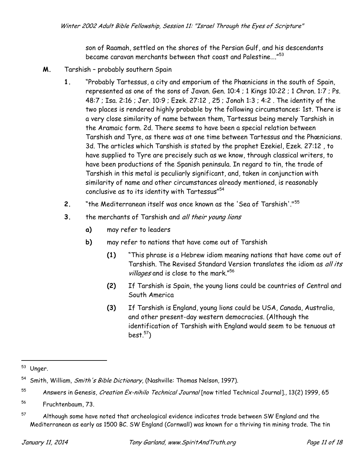son of Raamah, settled on the shores of the Persian Gulf, and his descendants became caravan merchants between that coast and Palestine…." $^{53}$ 

- **M.** Tarshish probably southern Spain
	- **1.** "Probably Tartessus, a city and emporium of the Phœnicians in the south of Spain, represented as one of the sons of Javan. Gen. 10:4 ; 1 Kings 10:22 ; 1 Chron. 1:7 ; Ps. 48:7 ; Isa. 2:16 ; Jer. 10:9 ; Ezek. 27:12 , 25 ; Jonah 1:3 ; 4:2 . The identity of the two places is rendered highly probable by the following circumstances: 1st. There is a very close similarity of name between them, Tartessus being merely Tarshish in the Aramaic form. 2d. There seems to have been a special relation between Tarshish and Tyre, as there was at one time between Tartessus and the Phœnicians. 3d. The articles which Tarshish is stated by the prophet Ezekiel, Ezek. 27:12 , to have supplied to Tyre are precisely such as we know, through classical writers, to have been productions of the Spanish peninsula. In regard to tin, the trade of Tarshish in this metal is peculiarly significant, and, taken in conjunction with similarity of name and other circumstances already mentioned, is reasonably conclusive as to its identity with Tartessus" $^{54}$
	- **2.** "the Mediterranean itself was once known as the 'Sea of Tarshish'."<sup>55</sup>
	- **3.** the merchants of Tarshish and all their young lions
		- **a)** may refer to leaders
		- **b)** may refer to nations that have come out of Tarshish
			- **(1)** "This phrase is a Hebrew idiom meaning nations that have come out of Tarshish. The Revised Standard Version translates the idiom as all its villages and is close to the mark."<sup>56</sup>
			- **(2)** If Tarshish is Spain, the young lions could be countries of Central and South America
			- **(3)** If Tarshish is England, young lions could be USA, Canada, Australia, and other present-day western democracies. (Although the identification of Tarshish with England would seem to be tenuous at best. $57)$

<sup>1</sup> <sup>53</sup> Unger.

<sup>&</sup>lt;sup>54</sup> Smith, William, Smith's Bible Dictionary, (Nashville: Thomas Nelson, 1997).

<sup>&</sup>lt;sup>55</sup> Answers in Genesis, Creation Ex-nihilo Technical Journal [now titled Technical Journal]., 13(2) 1999, 65

<sup>56</sup> Fruchtenbaum, 73.

 $57$  Although some have noted that archeological evidence indicates trade between SW England and the Mediterranean as early as 1500 BC. SW England (Cornwall) was known for a thriving tin mining trade. The tin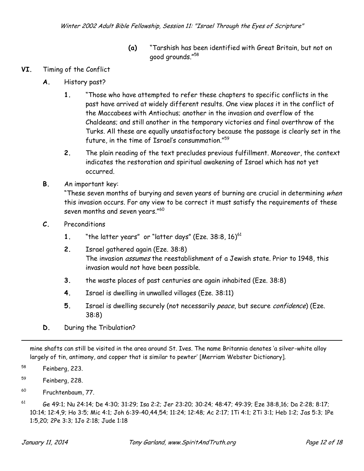- **(a)** "Tarshish has been identified with Great Britain, but not on good grounds."<sup>58</sup>
- **VI.** Timing of the Conflict
	- **A.** History past?
		- **1.** "Those who have attempted to refer these chapters to specific conflicts in the past have arrived at widely different results. One view places it in the conflict of the Maccabees with Antiochus; another in the invasion and overflow of the Chaldeans; and still another in the temporary victories and final overthrow of the Turks. All these are equally unsatisfactory because the passage is clearly set in the future, in the time of Israel's consummation."<sup>59</sup>
		- **2.** The plain reading of the text precludes previous fulfillment. Moreover, the context indicates the restoration and spiritual awakening of Israel which has not yet occurred.
	- **B.** An important key:

"These seven months of burying and seven years of burning are crucial in determining when this invasion occurs. For any view to be correct it must satisfy the requirements of these seven months and seven years."<sup>60</sup>

- **C.** Preconditions
	- **1.** "the latter years" or "latter days" (Eze.  $38:8, 16$ )<sup>61</sup>
	- **2.** Israel gathered again (Eze. 38:8) The invasion *assumes* the reestablishment of a Jewish state. Prior to 1948, this invasion would not have been possible.
	- **3.** the waste places of past centuries are again inhabited (Eze. 38:8)
	- **4.** Israel is dwelling in unwalled villages (Eze. 38:11)
	- **5.** Israel is dwelling securely (not necessarily peace, but secure confidence) (Eze. 38:8)
- **D.** During the Tribulation?

mine shafts can still be visited in the area around St. Ives. The name Britannia denotes 'a silver-white alloy largely of tin, antimony, and copper that is similar to pewter' [Merriam Webster Dictionary].

<sup>58</sup> Feinberg, 223.

1

- <sup>59</sup> Feinberg, 228.
- <sup>60</sup> Fruchtenbaum, 77.

<sup>61</sup> Ge 49:1; Nu 24:14; De 4:30; 31:29; Isa 2:2; Jer 23:20; 30:24; 48:47; 49:39; Eze 38:8,16; Da 2:28; 8:17; 10:14; 12:4,9; Ho 3:5; Mic 4:1; Joh 6:39-40,44,54; 11:24; 12:48; Ac 2:17; 1Ti 4:1; 2Ti 3:1; Heb 1:2; Jas 5:3; 1Pe 1:5,20; 2Pe 3:3; 1Jo 2:18; Jude 1:18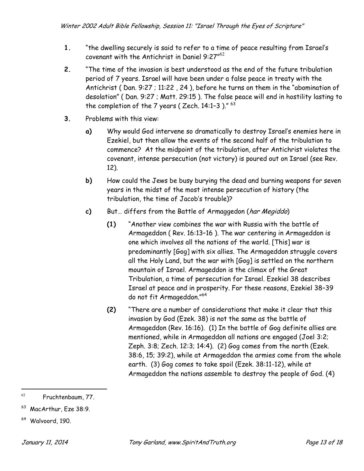- **1.** "the dwelling securely is said to refer to a time of peace resulting from Israel's covenant with the Antichrist in Daniel 9:27 $^{\prime\prime62}$
- **2.** "The time of the invasion is best understood as the end of the future tribulation period of 7 years. Israel will have been under a false peace in treaty with the Antichrist (Dan. 9:27 ; 11:22, 24), before he turns on them in the "abomination of desolation" ( Dan. 9:27 ; Matt. 29:15 ). The false peace will end in hostility lasting to the completion of the 7 years ( Zech. 14:1–3 )."  $^{63}$
- **3.** Problems with this view:
	- **a)** Why would God intervene so dramatically to destroy Israel's enemies here in Ezekiel, but then allow the events of the second half of the tribulation to commence? At the midpoint of the tribulation, after Antichrist violates the covenant, intense persecution (not victory) is poured out on Israel (see Rev. 12).
	- **b)** How could the Jews be busy burying the dead and burning weapons for seven years in the midst of the most intense persecution of history (the tribulation, the time of Jacob's trouble)?
	- **c)** But… differs from the Battle of Armaggedon (har Megiddo)
		- **(1)** "Another view combines the war with Russia with the battle of Armageddon ( Rev. 16:13–16 ). The war centering in Armageddon is one which involves all the nations of the world. [This] war is predominantly [Gog] with six allies. The Armageddon struggle covers all the Holy Land, but the war with [Gog] is settled on the northern mountain of Israel. Armageddon is the climax of the Great Tribulation, a time of persecution for Israel. Ezekiel 38 describes Israel at peace and in prosperity. For these reasons, Ezekiel 38–39 do not fit Armageddon."<sup>64</sup>
		- **(2)** "There are a number of considerations that make it clear that this invasion by God (Ezek. 38) is not the same as the battle of Armageddon (Rev. 16:16). (1) In the battle of Gog definite allies are mentioned, while in Armageddon all nations are engaged (Joel 3:2; Zeph. 3:8; Zech. 12:3; 14:4). (2) Gog comes from the north (Ezek. 38:6, 15; 39:2), while at Armageddon the armies come from the whole earth. (3) Gog comes to take spoil (Ezek. 38:11-12), while at Armageddon the nations assemble to destroy the people of God. (4)

<sup>62</sup> Fruchtenbaum, 77.

<sup>63</sup> MacArthur, Eze 38:9.

<sup>64</sup> Walvoord, 190.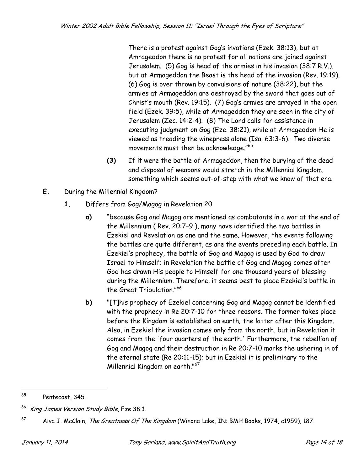There is a protest against Gog's invations (Ezek. 38:13), but at Amrageddon there is no protest for all nations are joined against Jerusalem. (5) Gog is head of the armies in his invasion (38:7 R.V.), but at Armageddon the Beast is the head of the invasion (Rev. 19:19). (6) Gog is over thrown by convulsions of nature (38:22), but the armies at Armageddon are destroyed by the sword that goes out of Christ's mouth (Rev. 19:15). (7) Gog's armies are arrayed in the open field (Ezek. 39:5), while at Armageddon they are seen in the city of Jerusalem (Zec. 14:2-4). (8) The Lord calls for assistance in executing judgment on Gog (Eze. 38:21), while at Armageddon He is viewed as treading the winepress alone (Isa. 63:3-6). Two diverse movements must then be acknowledge."<sup>65</sup>

- **(3)** If it were the battle of Armageddon, then the burying of the dead and disposal of weapons would stretch in the Millennial Kingdom, something which seems out-of-step with what we know of that era.
- **E.** During the Millennial Kingdom?
	- **1.** Differs from Gog/Magog in Revelation 20
		- **a)** "because Gog and Magog are mentioned as combatants in a war at the end of the Millennium ( Rev. 20:7–9 ), many have identified the two battles in Ezekiel and Revelation as one and the same. However, the events following the battles are quite different, as are the events preceding each battle. In Ezekiel's prophecy, the battle of Gog and Magog is used by God to draw Israel to Himself; in Revelation the battle of Gog and Magog comes after God has drawn His people to Himself for one thousand years of blessing during the Millennium. Therefore, it seems best to place Ezekiel's battle in the Great Tribulation."<sup>66</sup>
		- **b)** "[T]his prophecy of Ezekiel concerning Gog and Magog cannot be identified with the prophecy in Re 20:7-10 for three reasons. The former takes place before the Kingdom is established on earth; the latter after this Kingdom. Also, in Ezekiel the invasion comes only from the north, but in Revelation it comes from the 'four quarters of the earth.' Furthermore, the rebellion of Gog and Magog and their destruction in Re 20:7-10 marks the ushering in of the eternal state (Re 20:11-15); but in Ezekiel it is preliminary to the Millennial Kingdom on earth."<sup>67</sup>

<sup>65</sup> Pentecost, 345.

<sup>&</sup>lt;sup>66</sup> King James Version Study Bible, Eze 38:1.

 $^{67}$  Alva J. McClain, The Greatness Of The Kingdom (Winona Lake, IN: BMH Books, 1974, c1959), 187.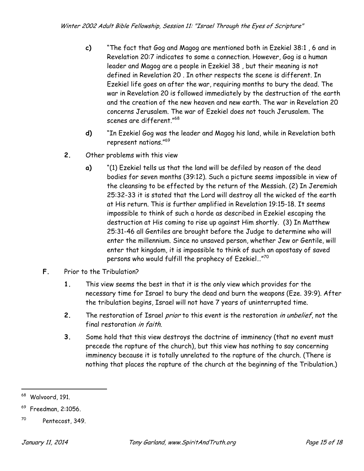- **c)** "The fact that Gog and Magog are mentioned both in Ezekiel 38:1 , 6 and in Revelation 20:7 indicates to some a connection. However, Gog is a human leader and Magog are a people in Ezekiel 38 , but their meaning is not defined in Revelation 20 . In other respects the scene is different. In Ezekiel life goes on after the war, requiring months to bury the dead. The war in Revelation 20 is followed immediately by the destruction of the earth and the creation of the new heaven and new earth. The war in Revelation 20 concerns Jerusalem. The war of Ezekiel does not touch Jerusalem. The scenes are different."<sup>68</sup>
- **d)** "In Ezekiel Gog was the leader and Magog his land, while in Revelation both represent nations."<sup>69</sup>
- **2.** Other problems with this view
	- **a)** "(1) Ezekiel tells us that the land will be defiled by reason of the dead bodies for seven months (39:12). Such a picture seems impossible in view of the cleansing to be effected by the return of the Messiah. (2) In Jeremiah 25:32-33 it is stated that the Lord will destroy all the wicked of the earth at His return. This is further amplified in Revelation 19:15-18. It seems impossible to think of such a horde as described in Ezekiel escaping the destruction at His coming to rise up against Him shortly. (3) In Matthew 25:31-46 all Gentiles are brought before the Judge to determine who will enter the millennium. Since no unsaved person, whether Jew or Gentile, will enter that kingdom, it is impossible to think of such an apostasy of saved persons who would fulfill the prophecy of Ezekiel…"<sup>70</sup>
- **F.** Prior to the Tribulation?
	- **1.** This view seems the best in that it is the only view which provides for the necessary time for Israel to bury the dead and burn the weapons (Eze. 39:9). After the tribulation begins, Israel will not have 7 years of uninterrupted time.
	- **2.** The restoration of Israel prior to this event is the restoration in unbelief, not the final restoration in faith.
	- **3.** Some hold that this view destroys the doctrine of imminency (that no event must precede the rapture of the church), but this view has nothing to say concerning imminency because it is totally unrelated to the rapture of the church. (There is nothing that places the rapture of the church at the beginning of the Tribulation.)

<sup>68</sup> Walvoord, 191.

<sup>69</sup> Freedman, 2:1056.

<sup>70</sup> Pentecost, 349.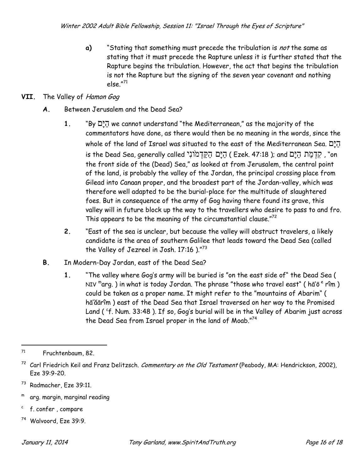**a)** "Stating that something must precede the tribulation is not the same as stating that it must precede the Rapture unless it is further stated that the Rapture begins the tribulation. However, the act that begins the tribulation is not the Rapture but the signing of the seven year covenant and nothing else."<sup>71</sup>

## **VII.** The Valley of Hamon Gog

- **A.** Between Jerusalem and the Dead Sea?
	- **1.** "By ʭָּיʔʤ we cannot understand "the Mediterranean," as the majority of the commentators have done, as there would then be no meaning in the words, since the whole of the land of Israel was situated to the east of the Mediterranean Sea.  $\vec{p}$ is the Dead Sea, generally called יְקִדְמֹוֹנִי ( Ezek. 47:18 ); and יְקִדְמַּת הַיָּם m the front side of the (Dead) Sea," as looked at from Jerusalem, the central point of the land, is probably the valley of the Jordan, the principal crossing place from Gilead into Canaan proper, and the broadest part of the Jordan-valley, which was therefore well adapted to be the burial-place for the multitude of slaughtered foes. But in consequence of the army of Gog having there found its grave, this valley will in future block up the way to the travellers who desire to pass to and fro. This appears to be the meaning of the circumstantial clause." $72$
	- **2.** "East of the sea is unclear, but because the valley will obstruct travelers, a likely candidate is the area of southern Galilee that leads toward the Dead Sea (called the Valley of Jezreel in Josh. 17:16 )."73
- **B.** In Modern-Day Jordan, east of the Dead Sea?
	- **1.** "The valley where Gog's army will be buried is "on the east side of" the Dead Sea ( NIV "arg. ) in what is today Jordan. The phrase "those who travel east" ( hā'ō <sup>e</sup> rîm ) could be taken as a proper name. It might refer to the "mountains of Abarim" ( hā'ăārîm ) east of the Dead Sea that Israel traversed on her way to the Promised Land ( <sup>c</sup>f. Num. 33:48 ). If so, Gog's burial will be in the Valley of Abarim just across the Dead Sea from Israel proper in the land of Moab."<sup>74</sup>

- m arg. margin, marginal reading
- c f. confer , compare
- <sup>74</sup> Walvoord, Eze 39:9.

<sup>71</sup> Fruchtenbaum, 82.

<sup>&</sup>lt;sup>72</sup> Carl Friedrich Keil and Franz Delitzsch. Commentary on the Old Testament (Peabody, MA: Hendrickson, 2002), Eze 39:9-20.

<sup>73</sup> Radmacher, Eze 39:11.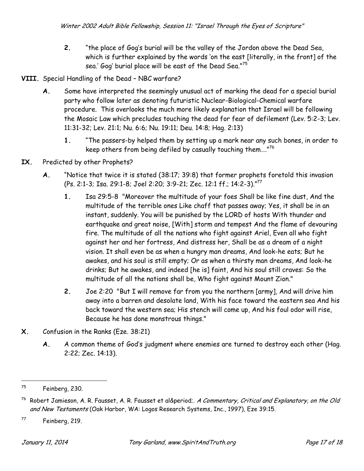- **2.** "the place of Gog's burial will be the valley of the Jordon above the Dead Sea, which is further explained by the words 'on the east [literally, in the front] of the sea.' Gog' burial place will be east of the Dead Sea."<sup>75</sup>
- **VIII.** Special Handling of the Dead NBC warfare?
	- **A.** Some have interpreted the seemingly unusual act of marking the dead for a special burial party who follow later as denoting futuristic Nuclear-Biological-Chemical warfare procedure. This overlooks the much more likely explanation that Israel will be following the Mosaic Law which precludes touching the dead for fear of defilement (Lev. 5:2-3; Lev. 11:31-32; Lev. 21:1; Nu. 6:6; Nu. 19:11; Deu. 14:8; Hag. 2:13)
		- **1.** "The passers-by helped them by setting up a mark near any such bones, in order to keep others from being defiled by casually touching them…." $^{76}$
- **IX.** Predicted by other Prophets?
	- **A.** "Notice that twice it is stated (38:17; 39:8) that former prophets foretold this invasion (Ps. 2:1-3; Isa. 29:1-8; Joel 2:20; 3:9-21; Zec. 12:1 ff.; 14:2-3)."<sup>77</sup>
		- **1.** Isa 29:5-8 "Moreover the multitude of your foes Shall be like fine dust, And the multitude of the terrible ones Like chaff that passes away; Yes, it shall be in an instant, suddenly. You will be punished by the LORD of hosts With thunder and earthquake and great noise, [With] storm and tempest And the flame of devouring fire. The multitude of all the nations who fight against Ariel, Even all who fight against her and her fortress, And distress her, Shall be as a dream of a night vision. It shall even be as when a hungry man dreams, And look-he eats; But he awakes, and his soul is still empty; Or as when a thirsty man dreams, And look-he drinks; But he awakes, and indeed [he is] faint, And his soul still craves: So the multitude of all the nations shall be, Who fight against Mount Zion."
		- **2.** Joe 2:20 "But I will remove far from you the northern [army], And will drive him away into a barren and desolate land, With his face toward the eastern sea And his back toward the western sea; His stench will come up, And his foul odor will rise, Because he has done monstrous things."
- **X.** Confusion in the Ranks (Eze. 38:21)
	- **A.** A common theme of God's judgment where enemies are turned to destroy each other (Hag. 2:22; Zec. 14:13).

<sup>75</sup> Feinberg, 230.

 $^{76}$  Robert Jamieson, A. R. Fausset, A. R. Fausset et al. A Commentary, Critical and Explanatory, on the Old and New Testaments (Oak Harbor, WA: Logos Research Systems, Inc., 1997), Eze 39:15.

 $77$  Feinberg, 219.